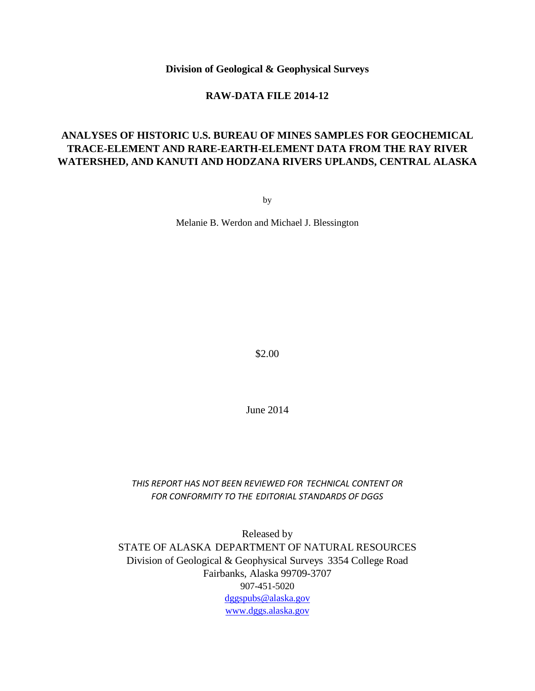**Division of Geological & Geophysical Surveys**

#### **RAW-DATA FILE 2014-12**

# **ANALYSES OF HISTORIC U.S. BUREAU OF MINES SAMPLES FOR GEOCHEMICAL TRACE-ELEMENT AND RARE-EARTH-ELEMENT DATA FROM THE RAY RIVER WATERSHED, AND KANUTI AND HODZANA RIVERS UPLANDS, CENTRAL ALASKA**

by

Melanie B. Werdon and Michael J. Blessington

\$2.00

June 2014

*THIS REPORT HAS NOT BEEN REVIEWED FOR TECHNICAL CONTENT OR FOR CONFORMITY TO THE EDITORIAL STANDARDS OF DGGS*

Released by STATE OF ALASKA DEPARTMENT OF NATURAL RESOURCES Division of Geological & Geophysical Surveys 3354 College Road Fairbanks, Alaska 99709-3707 907-451-5020 [dggspubs@alaska.gov](mailto:dggspubs@alaska.gov) [www.dggs.alaska.gov](http://www.dggs.alaska.gov/)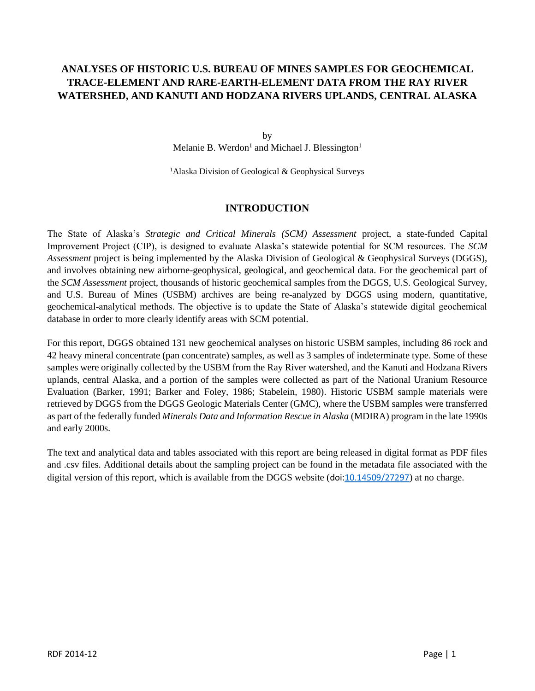## **ANALYSES OF HISTORIC U.S. BUREAU OF MINES SAMPLES FOR GEOCHEMICAL TRACE-ELEMENT AND RARE-EARTH-ELEMENT DATA FROM THE RAY RIVER WATERSHED, AND KANUTI AND HODZANA RIVERS UPLANDS, CENTRAL ALASKA**

by Melanie B. Werdon<sup>1</sup> and Michael J. Blessington<sup>1</sup>

<sup>1</sup> Alaska Division of Geological & Geophysical Surveys

## **INTRODUCTION**

The State of Alaska's *Strategic and Critical Minerals (SCM) Assessment* project, a state-funded Capital Improvement Project (CIP), is designed to evaluate Alaska's statewide potential for SCM resources. The *SCM Assessment* project is being implemented by the Alaska Division of Geological & Geophysical Surveys (DGGS), and involves obtaining new airborne-geophysical, geological, and geochemical data. For the geochemical part of the *SCM Assessment* project, thousands of historic geochemical samples from the DGGS, U.S. Geological Survey, and U.S. Bureau of Mines (USBM) archives are being re-analyzed by DGGS using modern, quantitative, geochemical-analytical methods. The objective is to update the State of Alaska's statewide digital geochemical database in order to more clearly identify areas with SCM potential.

For this report, DGGS obtained 131 new geochemical analyses on historic USBM samples, including 86 rock and 42 heavy mineral concentrate (pan concentrate) samples, as well as 3 samples of indeterminate type. Some of these samples were originally collected by the USBM from the Ray River watershed, and the Kanuti and Hodzana Rivers uplands, central Alaska, and a portion of the samples were collected as part of the National Uranium Resource Evaluation (Barker, 1991; Barker and Foley, 1986; Stabelein, 1980). Historic USBM sample materials were retrieved by DGGS from the DGGS Geologic Materials Center (GMC), where the USBM samples were transferred as part of the federally funded *Minerals Data and Information Rescue in Alaska* (MDIRA) program in the late 1990s and early 2000s.

The text and analytical data and tables associated with this report are being released in digital format as PDF files and .csv files. Additional details about the sampling project can be found in the metadata file associated with the digital version of this report, which is available from the DGGS website (doi[:10.14509/27297](http://dx.doi.org/10.14509/27297)) at no charge.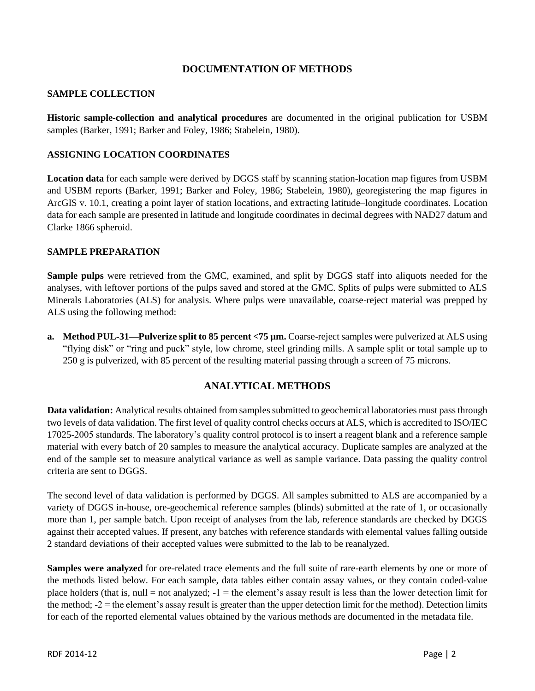## **DOCUMENTATION OF METHODS**

#### **SAMPLE COLLECTION**

**Historic sample-collection and analytical procedures** are documented in the original publication for USBM samples (Barker, 1991; Barker and Foley, 1986; Stabelein, 1980).

## **ASSIGNING LOCATION COORDINATES**

**Location data** for each sample were derived by DGGS staff by scanning station-location map figures from USBM and USBM reports (Barker, 1991; Barker and Foley, 1986; Stabelein, 1980), georegistering the map figures in ArcGIS v. 10.1, creating a point layer of station locations, and extracting latitude–longitude coordinates. Location data for each sample are presented in latitude and longitude coordinates in decimal degrees with NAD27 datum and Clarke 1866 spheroid.

## **SAMPLE PREPARATION**

**Sample pulps** were retrieved from the GMC, examined, and split by DGGS staff into aliquots needed for the analyses, with leftover portions of the pulps saved and stored at the GMC. Splits of pulps were submitted to ALS Minerals Laboratories (ALS) for analysis. Where pulps were unavailable, coarse-reject material was prepped by ALS using the following method:

**a. Method PUL-31—Pulverize split to 85 percent** <75  $\mu$ m. Coarse-reject samples were pulverized at ALS using "flying disk" or "ring and puck" style, low chrome, steel grinding mills. A sample split or total sample up to 250 g is pulverized, with 85 percent of the resulting material passing through a screen of 75 microns.

## **ANALYTICAL METHODS**

**Data validation:** Analytical results obtained from samples submitted to geochemical laboratories must pass through two levels of data validation. The first level of quality control checks occurs at ALS, which is accredited to ISO/IEC 17025-2005 standards. The laboratory's quality control protocol is to insert a reagent blank and a reference sample material with every batch of 20 samples to measure the analytical accuracy. Duplicate samples are analyzed at the end of the sample set to measure analytical variance as well as sample variance. Data passing the quality control criteria are sent to DGGS.

The second level of data validation is performed by DGGS. All samples submitted to ALS are accompanied by a variety of DGGS in-house, ore-geochemical reference samples (blinds) submitted at the rate of 1, or occasionally more than 1, per sample batch. Upon receipt of analyses from the lab, reference standards are checked by DGGS against their accepted values. If present, any batches with reference standards with elemental values falling outside 2 standard deviations of their accepted values were submitted to the lab to be reanalyzed.

**Samples were analyzed** for ore-related trace elements and the full suite of rare-earth elements by one or more of the methods listed below. For each sample, data tables either contain assay values, or they contain coded-value place holders (that is, null  $=$  not analyzed;  $-1 =$  the element's assay result is less than the lower detection limit for the method;  $-2$  = the element's assay result is greater than the upper detection limit for the method). Detection limits for each of the reported elemental values obtained by the various methods are documented in the metadata file.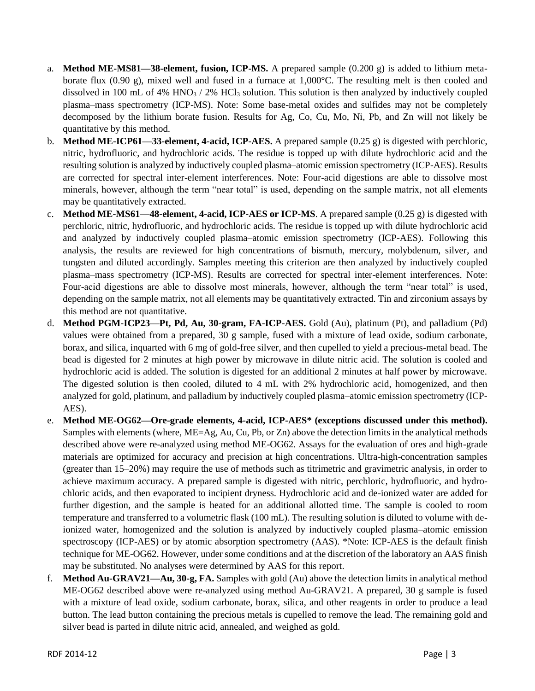- a. **Method ME-MS81—38-element, fusion, ICP-MS.** A prepared sample (0.200 g) is added to lithium metaborate flux (0.90 g), mixed well and fused in a furnace at 1,000°C. The resulting melt is then cooled and dissolved in 100 mL of 4%  $HNO<sub>3</sub>$  / 2% HCl<sub>3</sub> solution. This solution is then analyzed by inductively coupled plasma–mass spectrometry (ICP-MS). Note: Some base-metal oxides and sulfides may not be completely decomposed by the lithium borate fusion. Results for Ag, Co, Cu, Mo, Ni, Pb, and Zn will not likely be quantitative by this method.
- b. **Method ME-ICP61—33-element, 4-acid, ICP-AES.** A prepared sample (0.25 g) is digested with perchloric, nitric, hydrofluoric, and hydrochloric acids. The residue is topped up with dilute hydrochloric acid and the resulting solution is analyzed by inductively coupled plasma–atomic emission spectrometry (ICP-AES). Results are corrected for spectral inter-element interferences. Note: Four-acid digestions are able to dissolve most minerals, however, although the term "near total" is used, depending on the sample matrix, not all elements may be quantitatively extracted.
- c. **Method ME-MS61—48-element, 4-acid, ICP-AES or ICP-MS**. A prepared sample (0.25 g) is digested with perchloric, nitric, hydrofluoric, and hydrochloric acids. The residue is topped up with dilute hydrochloric acid and analyzed by inductively coupled plasma–atomic emission spectrometry (ICP-AES). Following this analysis, the results are reviewed for high concentrations of bismuth, mercury, molybdenum, silver, and tungsten and diluted accordingly. Samples meeting this criterion are then analyzed by inductively coupled plasma–mass spectrometry (ICP-MS). Results are corrected for spectral inter-element interferences. Note: Four-acid digestions are able to dissolve most minerals, however, although the term "near total" is used, depending on the sample matrix, not all elements may be quantitatively extracted. Tin and zirconium assays by this method are not quantitative.
- d. **Method PGM-ICP23—Pt, Pd, Au, 30-gram, FA-ICP-AES.** Gold (Au), platinum (Pt), and palladium (Pd) values were obtained from a prepared, 30 g sample, fused with a mixture of lead oxide, sodium carbonate, borax, and silica, inquarted with 6 mg of gold-free silver, and then cupelled to yield a precious-metal bead. The bead is digested for 2 minutes at high power by microwave in dilute nitric acid. The solution is cooled and hydrochloric acid is added. The solution is digested for an additional 2 minutes at half power by microwave. The digested solution is then cooled, diluted to 4 mL with 2% hydrochloric acid, homogenized, and then analyzed for gold, platinum, and palladium by inductively coupled plasma–atomic emission spectrometry (ICP-AES).
- e. **Method ME-OG62—Ore-grade elements, 4-acid, ICP-AES\* (exceptions discussed under this method).** Samples with elements (where, ME=Ag, Au, Cu, Pb, or Zn) above the detection limits in the analytical methods described above were re-analyzed using method ME-OG62. Assays for the evaluation of ores and high-grade materials are optimized for accuracy and precision at high concentrations. Ultra-high-concentration samples (greater than 15–20%) may require the use of methods such as titrimetric and gravimetric analysis, in order to achieve maximum accuracy. A prepared sample is digested with nitric, perchloric, hydrofluoric, and hydrochloric acids, and then evaporated to incipient dryness. Hydrochloric acid and de-ionized water are added for further digestion, and the sample is heated for an additional allotted time. The sample is cooled to room temperature and transferred to a volumetric flask (100 mL). The resulting solution is diluted to volume with deionized water, homogenized and the solution is analyzed by inductively coupled plasma–atomic emission spectroscopy (ICP-AES) or by atomic absorption spectrometry (AAS). \*Note: ICP-AES is the default finish technique for ME-OG62. However, under some conditions and at the discretion of the laboratory an AAS finish may be substituted. No analyses were determined by AAS for this report.
- f. **Method Au-GRAV21—Au, 30-g, FA.** Samples with gold (Au) above the detection limits in analytical method ME-OG62 described above were re-analyzed using method Au-GRAV21. A prepared, 30 g sample is fused with a mixture of lead oxide, sodium carbonate, borax, silica, and other reagents in order to produce a lead button. The lead button containing the precious metals is cupelled to remove the lead. The remaining gold and silver bead is parted in dilute nitric acid, annealed, and weighed as gold.